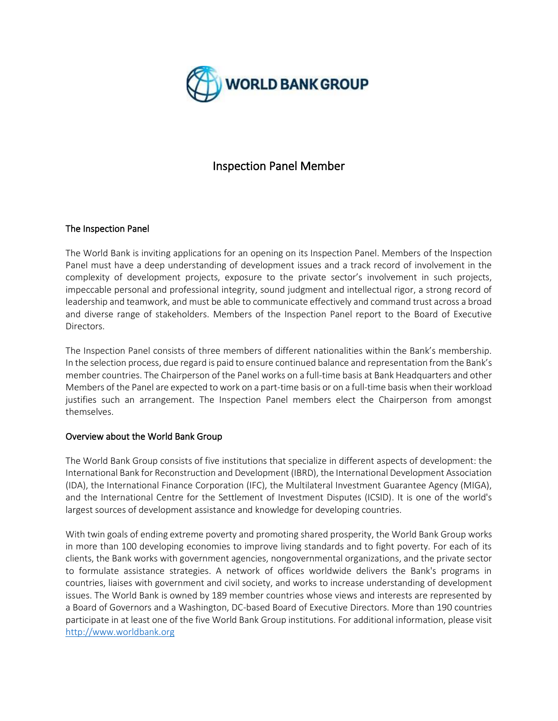

# Inspection Panel Member

## The Inspection Panel

The World Bank is inviting applications for an opening on its Inspection Panel. Members of the Inspection Panel must have a deep understanding of development issues and a track record of involvement in the complexity of development projects, exposure to the private sector's involvement in such projects, impeccable personal and professional integrity, sound judgment and intellectual rigor, a strong record of leadership and teamwork, and must be able to communicate effectively and command trust across a broad and diverse range of stakeholders. Members of the Inspection Panel report to the Board of Executive Directors.

The Inspection Panel consists of three members of different nationalities within the Bank's membership. In the selection process, due regard is paid to ensure continued balance and representation from the Bank's member countries. The Chairperson of the Panel works on a full-time basis at Bank Headquarters and other Members of the Panel are expected to work on a part-time basis or on a full-time basis when their workload justifies such an arrangement. The Inspection Panel members elect the Chairperson from amongst themselves.

## Overview about the World Bank Group

The World Bank Group consists of five institutions that specialize in different aspects of development: the International Bank for Reconstruction and Development (IBRD), the International Development Association (IDA), the International Finance Corporation (IFC), the Multilateral Investment Guarantee Agency (MIGA), and the International Centre for the Settlement of Investment Disputes (ICSID). It is one of the world's largest sources of development assistance and knowledge for developing countries.

With twin goals of ending extreme poverty and promoting shared prosperity, the World Bank Group works in more than 100 developing economies to improve living standards and to fight poverty. For each of its clients, the Bank works with government agencies, nongovernmental organizations, and the private sector to formulate assistance strategies. A network of offices worldwide delivers the Bank's programs in countries, liaises with government and civil society, and works to increase understanding of development issues. The World Bank is owned by 189 member countries whose views and interests are represented by a Board of Governors and a Washington, DC-based Board of Executive Directors. More than 190 countries participate in at least one of the five World Bank Group institutions. For additional information, please visit [http://www.worldbank.org](http://www.worldbank.org/)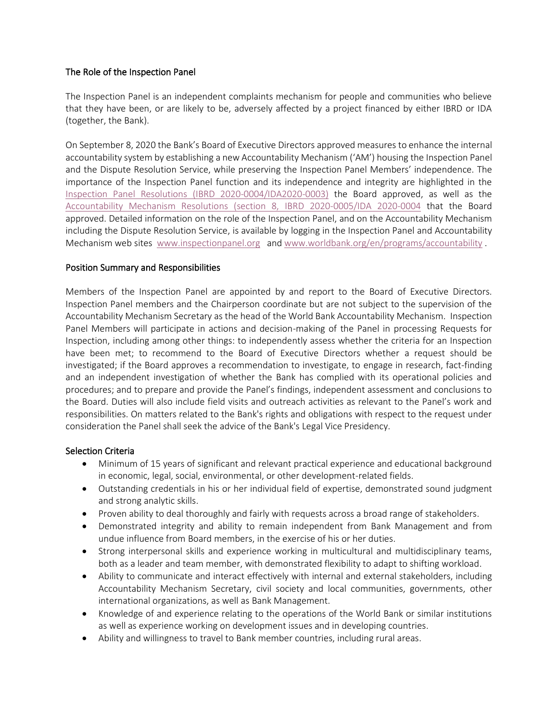### The Role of the Inspection Panel

The Inspection Panel is an independent complaints mechanism for people and communities who believe that they have been, or are likely to be, adversely affected by a project financed by either IBRD or IDA (together, the Bank).

On September 8, 2020 the Bank's Board of Executive Directors approved measures to enhance the internal accountability system by establishing a new Accountability Mechanism ('AM') housing the Inspection Panel and the Dispute Resolution Service, while preserving the Inspection Panel Members' independence. The importance of the Inspection Panel function and its independence and integrity are highlighted in the Inspection Panel Resolutions [\(IBRD 2020-0004/IDA2020-0003\)](https://www.inspectionpanel.org/sites/www.inspectionpanel.org/files/documents/InspectionPanelResolution.pdf) the Board approved, as well as the [Accountability Mechanism Resolutions \(section 8, IBRD 2020-0005/IDA 2020-0004](https://www.inspectionpanel.org/sites/www.inspectionpanel.org/files/documents/AccountabilityMechanismResolution.pdf) that the Board approved. Detailed information on the role of the Inspection Panel, and on the Accountability Mechanism including the Dispute Resolution Service, is available by logging in the Inspection Panel and Accountability Mechanism web sites [www.inspectionpanel.org](http://www.inspectionpanel.org/) and [www.worldbank.org/en/programs/accountability](http://www.worldbank.org/en/programs/accountability).

### Position Summary and Responsibilities

Members of the Inspection Panel are appointed by and report to the Board of Executive Directors. Inspection Panel members and the Chairperson coordinate but are not subject to the supervision of the Accountability Mechanism Secretary as the head of the World Bank Accountability Mechanism. Inspection Panel Members will participate in actions and decision-making of the Panel in processing Requests for Inspection, including among other things: to independently assess whether the criteria for an Inspection have been met; to recommend to the Board of Executive Directors whether a request should be investigated; if the Board approves a recommendation to investigate, to engage in research, fact-finding and an independent investigation of whether the Bank has complied with its operational policies and procedures; and to prepare and provide the Panel's findings, independent assessment and conclusions to the Board. Duties will also include field visits and outreach activities as relevant to the Panel's work and responsibilities. On matters related to the Bank's rights and obligations with respect to the request under consideration the Panel shall seek the advice of the Bank's Legal Vice Presidency.

#### Selection Criteria

- Minimum of 15 years of significant and relevant practical experience and educational background in economic, legal, social, environmental, or other development-related fields.
- Outstanding credentials in his or her individual field of expertise, demonstrated sound judgment and strong analytic skills.
- Proven ability to deal thoroughly and fairly with requests across a broad range of stakeholders.
- Demonstrated integrity and ability to remain independent from Bank Management and from undue influence from Board members, in the exercise of his or her duties.
- Strong interpersonal skills and experience working in multicultural and multidisciplinary teams, both as a leader and team member, with demonstrated flexibility to adapt to shifting workload.
- Ability to communicate and interact effectively with internal and external stakeholders, including Accountability Mechanism Secretary, civil society and local communities, governments, other international organizations, as well as Bank Management.
- Knowledge of and experience relating to the operations of the World Bank or similar institutions as well as experience working on development issues and in developing countries.
- Ability and willingness to travel to Bank member countries, including rural areas.